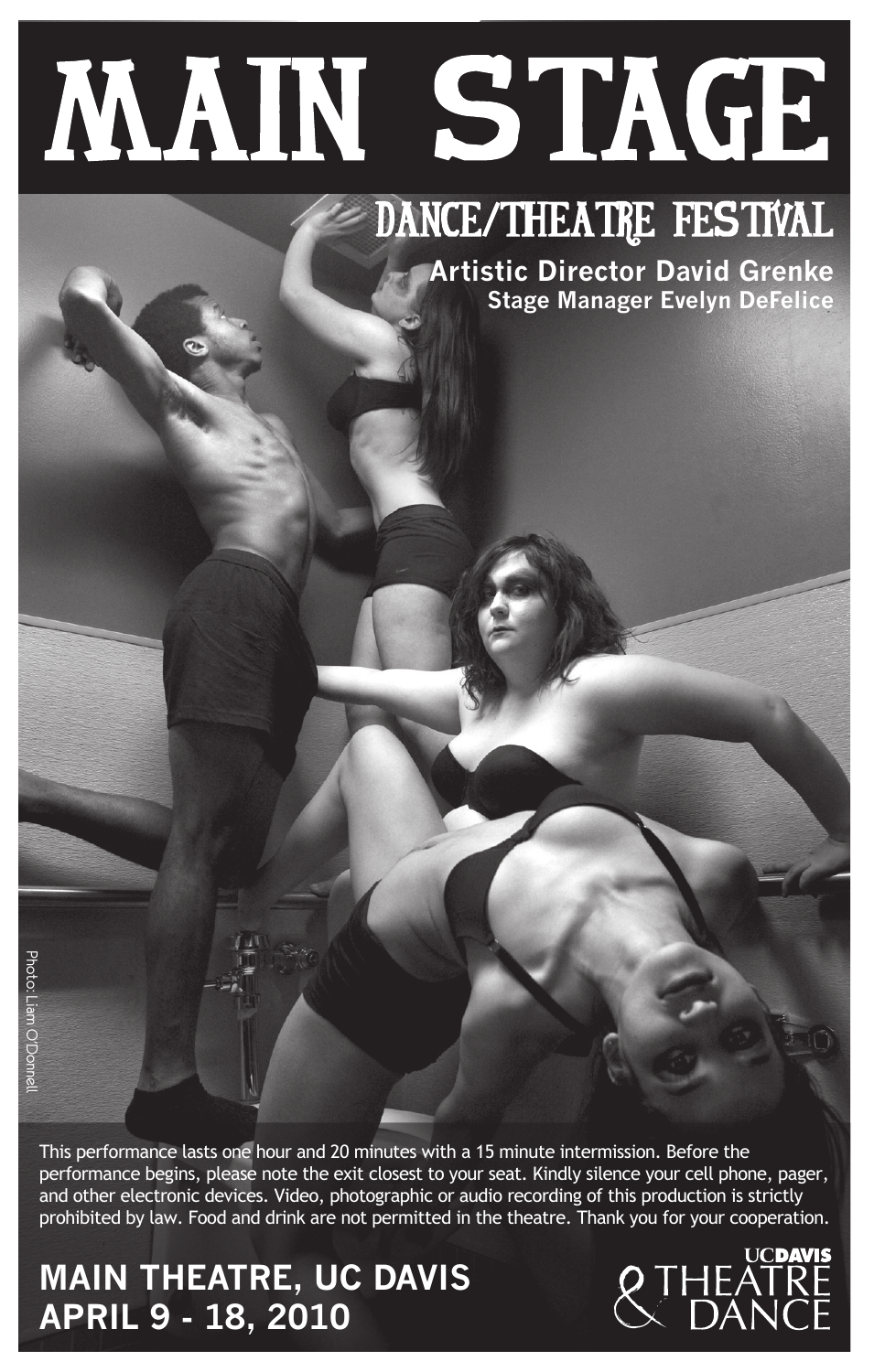# **MAIN STAGE**

# DANCE/THEATRE FESTIVAL

**Artistic Director David Grenke Stage Manager Evelyn DeFelice**

This performance lasts one hour and 20 minutes with a 15 minute intermission. Before the performance begins, please note the exit closest to your seat. Kindly silence your cell phone, pager, and other electronic devices. Video, photographic or audio recording of this production is strictly prohibited by law. Food and drink are not permitted in the theatre. Thank you for your cooperation.

# **APRIL 9 - 18, 2010 MAIN THEATRE, UC DAVIS**

Photo: Liam O'Donnell

Appto: Liam OʻDol

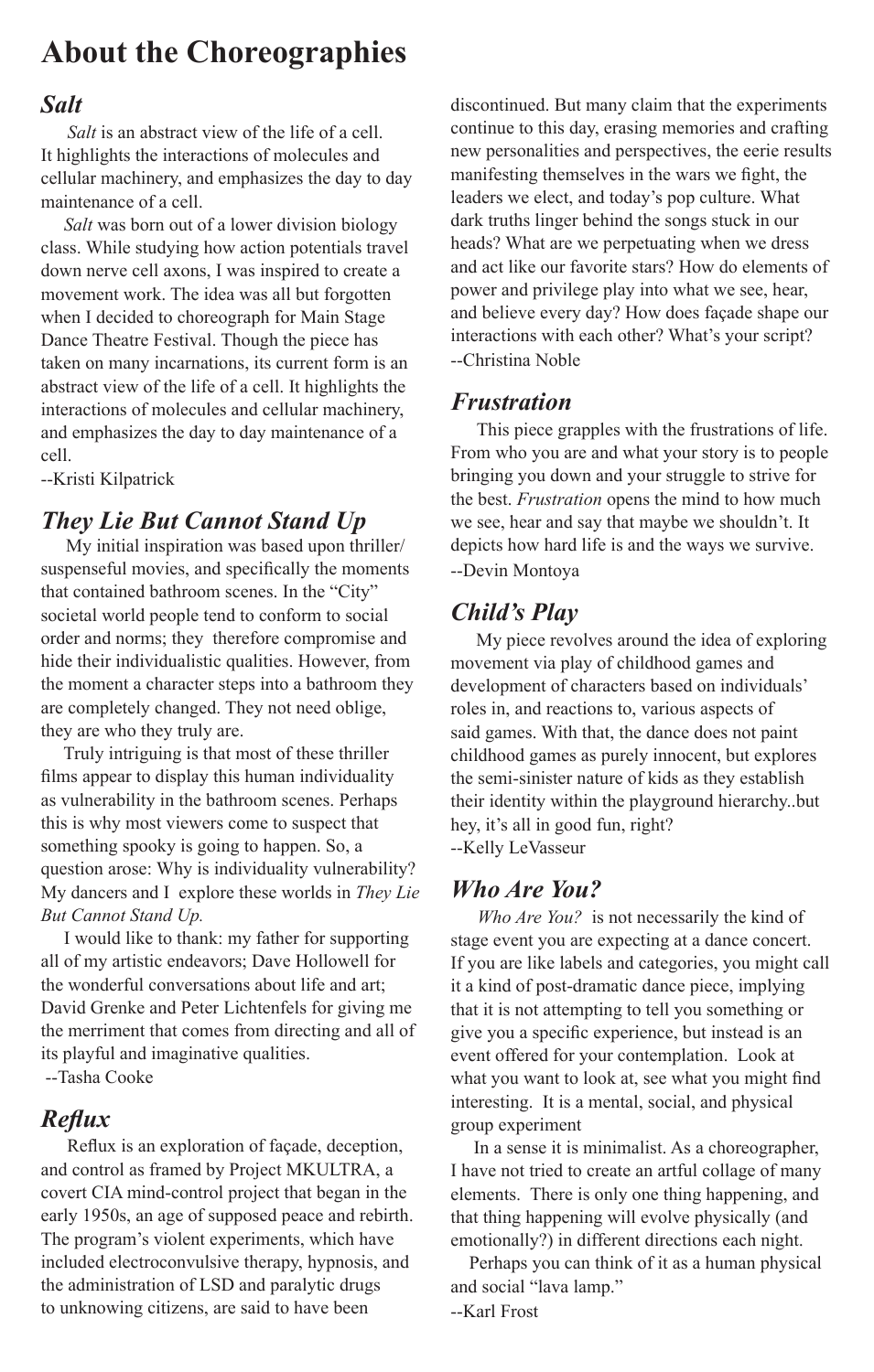# **About the Choreographies**

## *Salt*

 *Salt* is an abstract view of the life of a cell. It highlights the interactions of molecules and cellular machinery, and emphasizes the day to day maintenance of a cell.

 *Salt* was born out of a lower division biology class. While studying how action potentials travel down nerve cell axons, I was inspired to create a movement work. The idea was all but forgotten when I decided to choreograph for Main Stage Dance Theatre Festival. Though the piece has taken on many incarnations, its current form is an abstract view of the life of a cell. It highlights the interactions of molecules and cellular machinery, and emphasizes the day to day maintenance of a cell.

--Kristi Kilpatrick

## *They Lie But Cannot Stand Up*

 My initial inspiration was based upon thriller/ suspenseful movies, and specifically the moments that contained bathroom scenes. In the "City" societal world people tend to conform to social order and norms; they therefore compromise and hide their individualistic qualities. However, from the moment a character steps into a bathroom they are completely changed. They not need oblige, they are who they truly are.

 Truly intriguing is that most of these thriller films appear to display this human individuality as vulnerability in the bathroom scenes. Perhaps this is why most viewers come to suspect that something spooky is going to happen. So, a question arose: Why is individuality vulnerability? My dancers and I explore these worlds in *They Lie But Cannot Stand Up.*

 I would like to thank: my father for supporting all of my artistic endeavors; Dave Hollowell for the wonderful conversations about life and art; David Grenke and Peter Lichtenfels for giving me the merriment that comes from directing and all of its playful and imaginative qualities. --Tasha Cooke

## *Reflux*

 Reflux is an exploration of façade, deception, and control as framed by Project MKULTRA, a covert CIA mind-control project that began in the early 1950s, an age of supposed peace and rebirth. The program's violent experiments, which have included electroconvulsive therapy, hypnosis, and the administration of LSD and paralytic drugs to unknowing citizens, are said to have been

discontinued. But many claim that the experiments continue to this day, erasing memories and crafting new personalities and perspectives, the eerie results manifesting themselves in the wars we fight, the leaders we elect, and today's pop culture. What dark truths linger behind the songs stuck in our heads? What are we perpetuating when we dress and act like our favorite stars? How do elements of power and privilege play into what we see, hear, and believe every day? How does façade shape our interactions with each other? What's your script? --Christina Noble

## *Frustration*

 This piece grapples with the frustrations of life. From who you are and what your story is to people bringing you down and your struggle to strive for the best. *Frustration* opens the mind to how much we see, hear and say that maybe we shouldn't. It depicts how hard life is and the ways we survive.

--Devin Montoya

## *Child's Play*

 My piece revolves around the idea of exploring movement via play of childhood games and development of characters based on individuals' roles in, and reactions to, various aspects of said games. With that, the dance does not paint childhood games as purely innocent, but explores the semi-sinister nature of kids as they establish their identity within the playground hierarchy..but hey, it's all in good fun, right? --Kelly LeVasseur

## *Who Are You?*

 *Who Are You?* is not necessarily the kind of stage event you are expecting at a dance concert. If you are like labels and categories, you might call it a kind of post-dramatic dance piece, implying that it is not attempting to tell you something or give you a specific experience, but instead is an event offered for your contemplation. Look at what you want to look at, see what you might find interesting. It is a mental, social, and physical group experiment

 In a sense it is minimalist. As a choreographer, I have not tried to create an artful collage of many elements. There is only one thing happening, and that thing happening will evolve physically (and emotionally?) in different directions each night.

 Perhaps you can think of it as a human physical and social "lava lamp."

--Karl Frost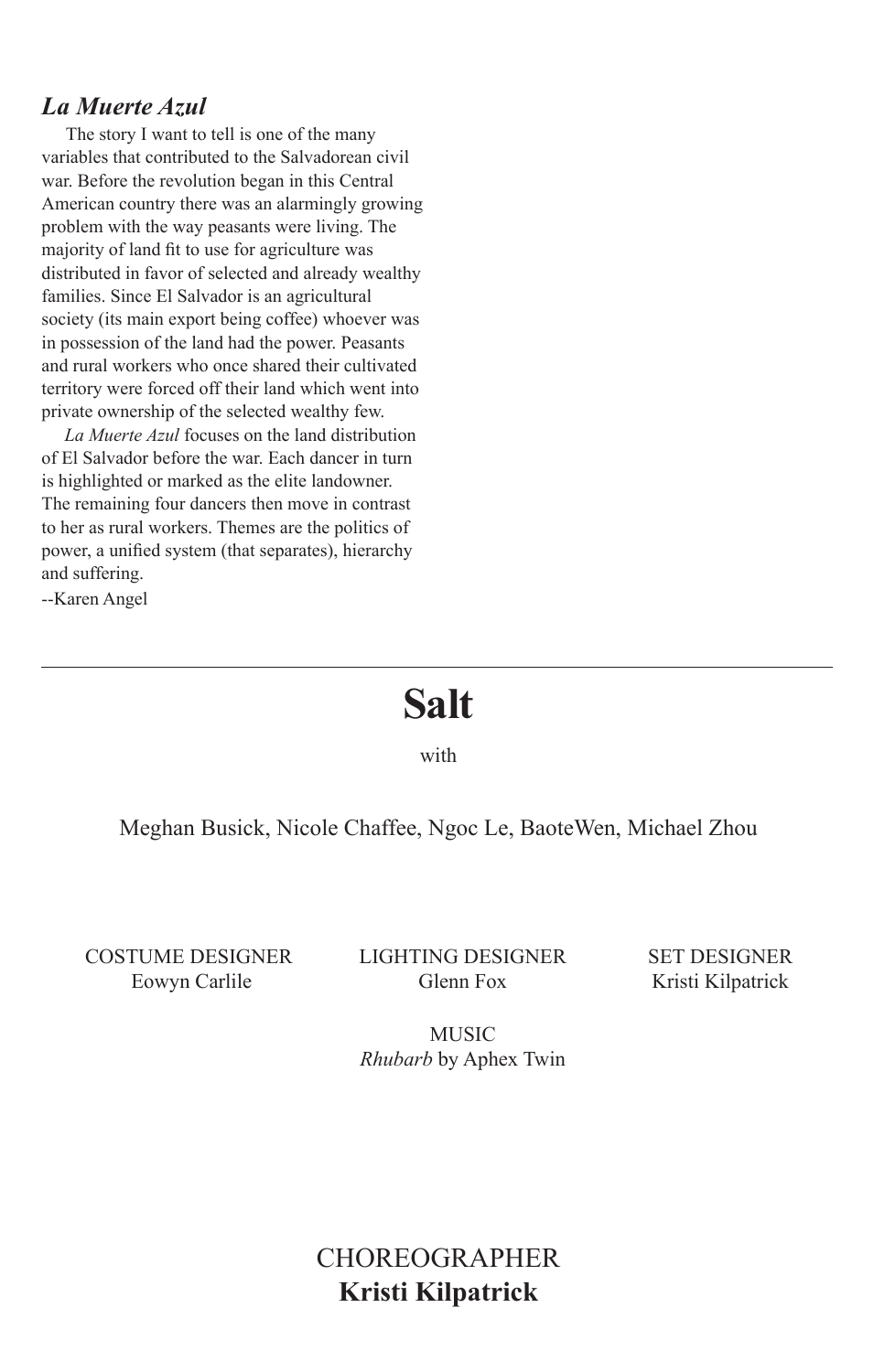## *La Muerte Azul*

 The story I want to tell is one of the many variables that contributed to the Salvadorean civil war. Before the revolution began in this Central American country there was an alarmingly growing problem with the way peasants were living. The majority of land fit to use for agriculture was distributed in favor of selected and already wealthy families. Since El Salvador is an agricultural society (its main export being coffee) whoever was in possession of the land had the power. Peasants and rural workers who once shared their cultivated territory were forced off their land which went into private ownership of the selected wealthy few.

 *La Muerte Azul* focuses on the land distribution of El Salvador before the war. Each dancer in turn is highlighted or marked as the elite landowner. The remaining four dancers then move in contrast to her as rural workers. Themes are the politics of power, a unified system (that separates), hierarchy and suffering.

--Karen Angel

# **Salt**

with

#### Meghan Busick, Nicole Chaffee, Ngoc Le, BaoteWen, Michael Zhou

costume designer Eowyn Carlile

lighting designer Glenn Fox

SET designer Kristi Kilpatrick

**MUSIC** *Rhubarb* by Aphex Twin

# **CHOREOGRAPHER Kristi Kilpatrick**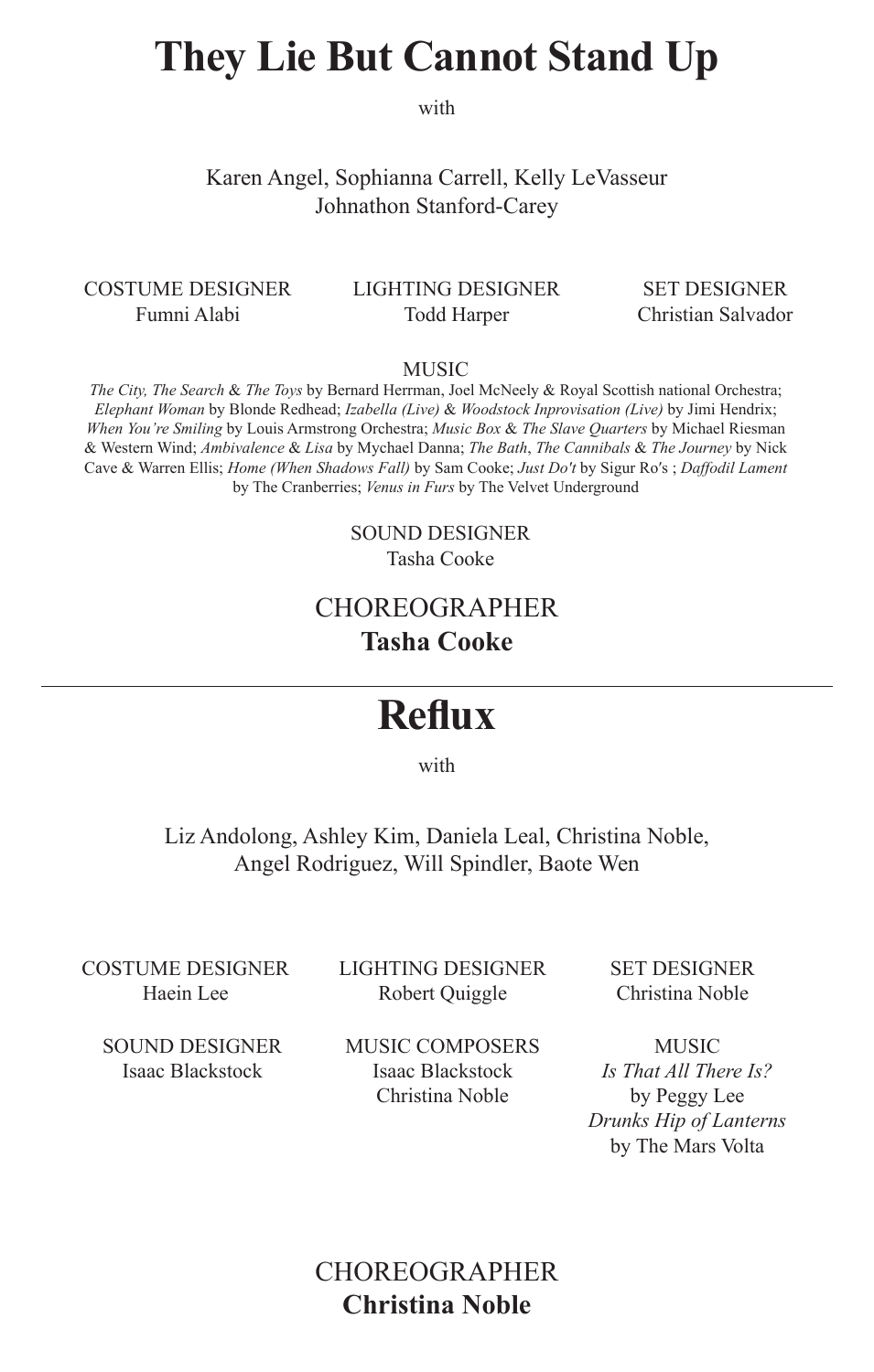# **They Lie But Cannot Stand Up**

with

Karen Angel, Sophianna Carrell, Kelly LeVasseur Johnathon Stanford-Carey

costume designer Fumni Alabi

#### lighting designer Todd Harper

SET designer Christian Salvador

MUSIC

*The City, The Search* & *The Toys* by Bernard Herrman, Joel McNeely & Royal Scottish national Orchestra; *Elephant Woman* by Blonde Redhead; *Izabella (Live)* & *Woodstock Inprovisation (Live)* by Jimi Hendrix; *When You're Smiling* by Louis Armstrong Orchestra; *Music Box* & *The Slave Quarters* by Michael Riesman & Western Wind; *Ambivalence* & *Lisa* by Mychael Danna; *The Bath*, *The Cannibals* & *The Journey* by Nick Cave & Warren Ellis; *Home (When Shadows Fall)* by Sam Cooke; *Just Do′t* by Sigur Ro′s ; *Daffodil Lament* by The Cranberries; *Venus in Furs* by The Velvet Underground

> SOUND DESIGNER Tasha Cooke

## Choreographer **Tasha Cooke**

# **Reflux**

with

Liz Andolong, Ashley Kim, Daniela Leal, Christina Noble, Angel Rodriguez, Will Spindler, Baote Wen

costume designer Haein Lee

lighting designer Robert Quiggle

SET designer Christina Noble

SOUND DESIGNER Isaac Blackstock

MUSIC composers Isaac Blackstock Christina Noble

**MUSIC** *Is That All There Is?*  by Peggy Lee *Drunks Hip of Lanterns*  by The Mars Volta

## **CHOREOGRAPHER Christina Noble**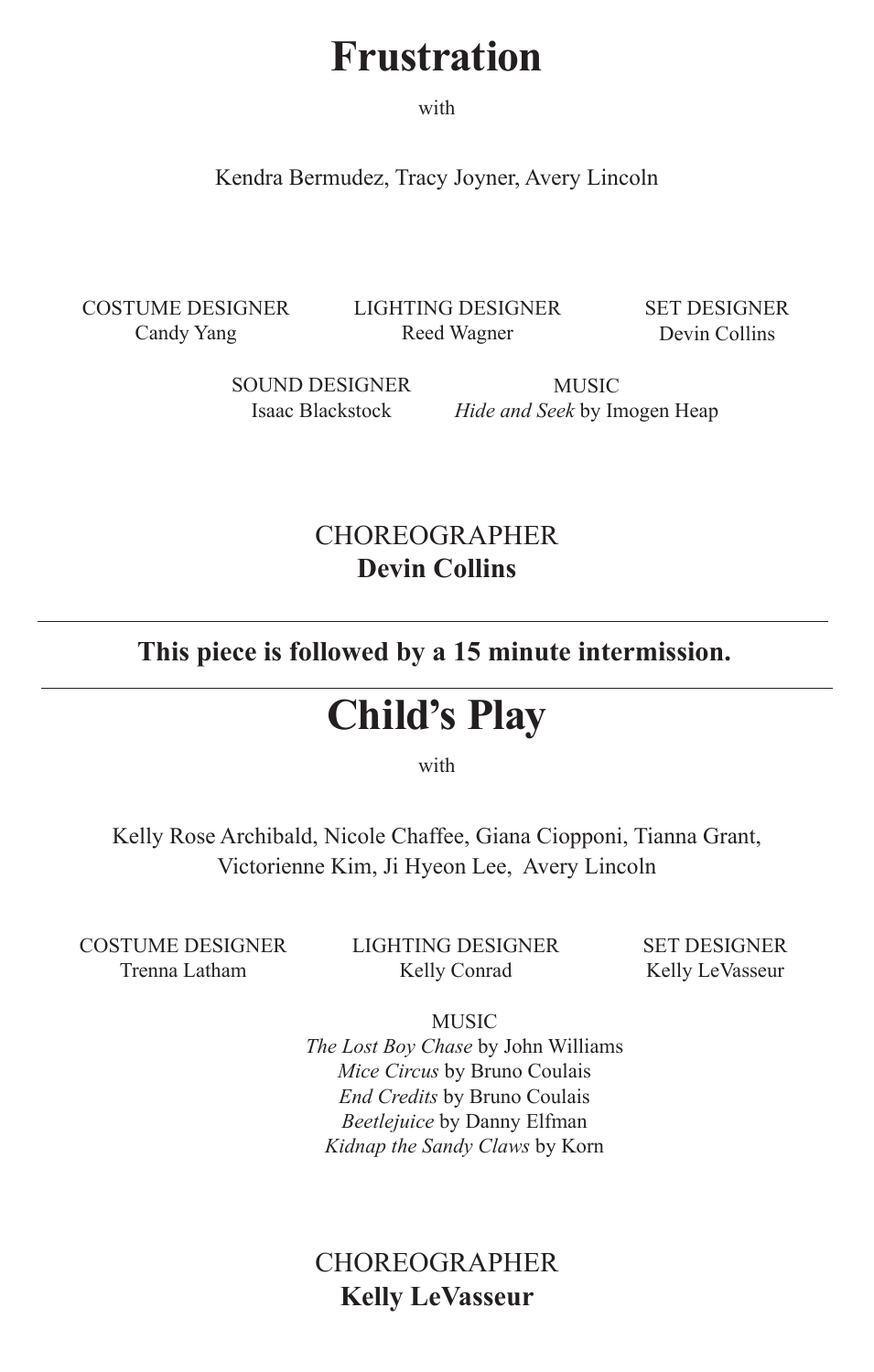# **Frustration**

with

Kendra Bermudez, Tracy Joyner, Avery Lincoln

costume designer Candy Yang

lighting designer Reed Wagner

SET designer Devin Collins

SOUND DESIGNER Isaac Blackstock

MUSIC *Hide and Seek* by Imogen Heap

# CHOREOGRAPHER **Devin Collins**

**This piece is followed by a 15 minute intermission.**

# **Child's Play**

with

Kelly Rose Archibald, Nicole Chaffee, Giana Ciopponi, Tianna Grant, Victorienne Kim, Ji Hyeon Lee, Avery Lincoln

costume designer Trenna Latham

lighting designer Kelly Conrad

SET DESIGNER Kelly LeVasseur

MUSIC *The Lost Boy Chase* by John Williams *Mice Circus* by Bruno Coulais *End Credits* by Bruno Coulais *Beetlejuice* by Danny Elfman *Kidnap the Sandy Claws* by Korn

# CHOREOGRAPHER **Kelly LeVasseur**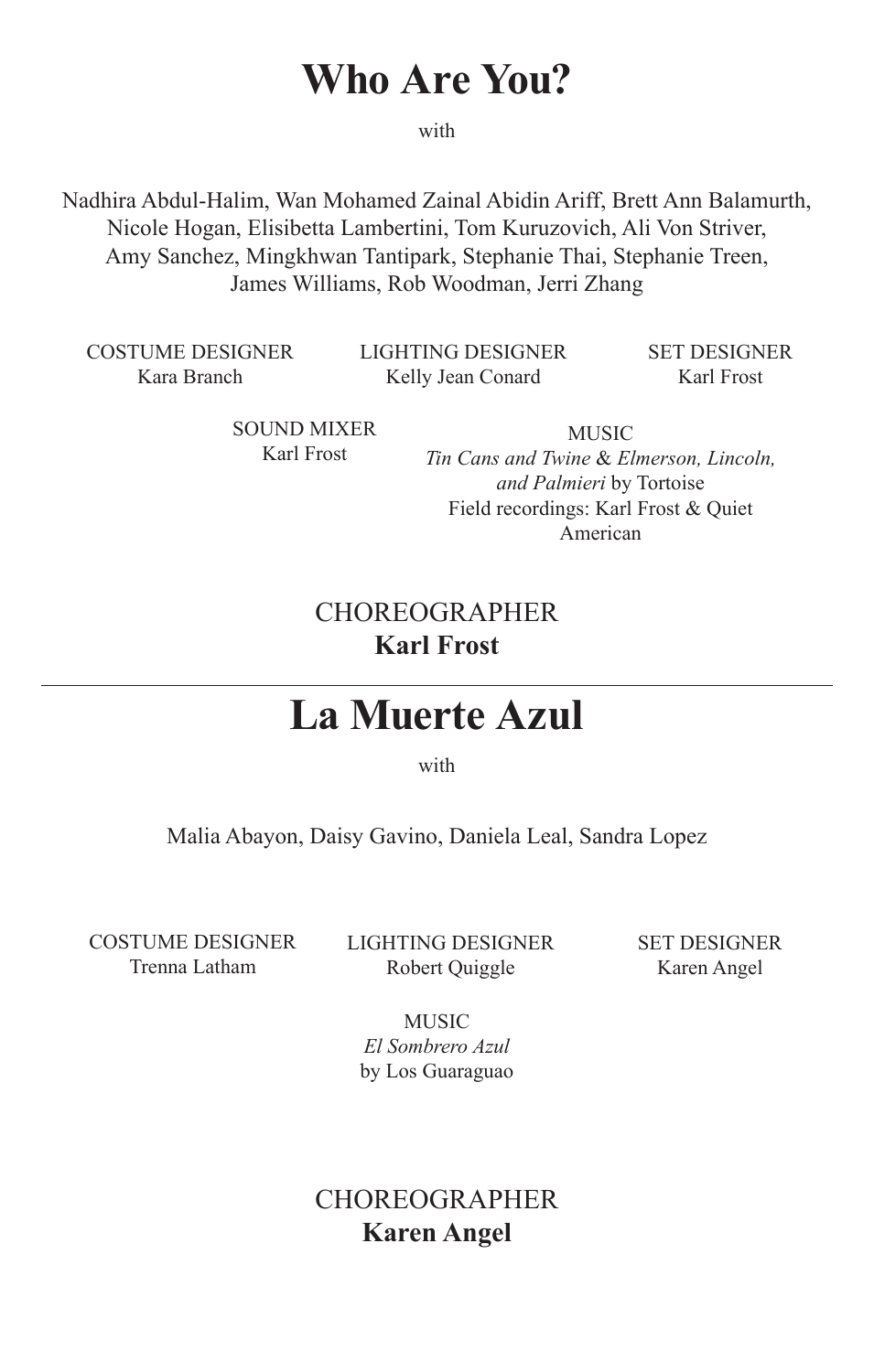# **Who Are You?**

with

Nadhira Abdul-Halim, Wan Mohamed Zainal Abidin Ariff, Brett Ann Balamurth, Nicole Hogan, Elisibetta Lambertini, Tom Kuruzovich, Ali Von Striver, Amy Sanchez, Mingkhwan Tantipark, Stephanie Thai, Stephanie Treen, James Williams, Rob Woodman, Jerri Zhang

costume designer Kara Branch

lighting designer Kelly Jean Conard

SET DESIGNER Karl Frost

Sound Mixer Karl Frost

MUSIC *Tin Cans and Twine* & *Elmerson, Lincoln, and Palmieri* by Tortoise Field recordings: Karl Frost & Quiet American

## **CHOREOGRAPHER Karl Frost**

# **La Muerte Azul**

with

Malia Abayon, Daisy Gavino, Daniela Leal, Sandra Lopez

costume designer Trenna Latham

lighting designer Robert Quiggle

SET designer Karen Angel

**MUSIC** *El Sombrero Azul* by Los Guaraguao

# **CHOREOGRAPHER Karen Angel**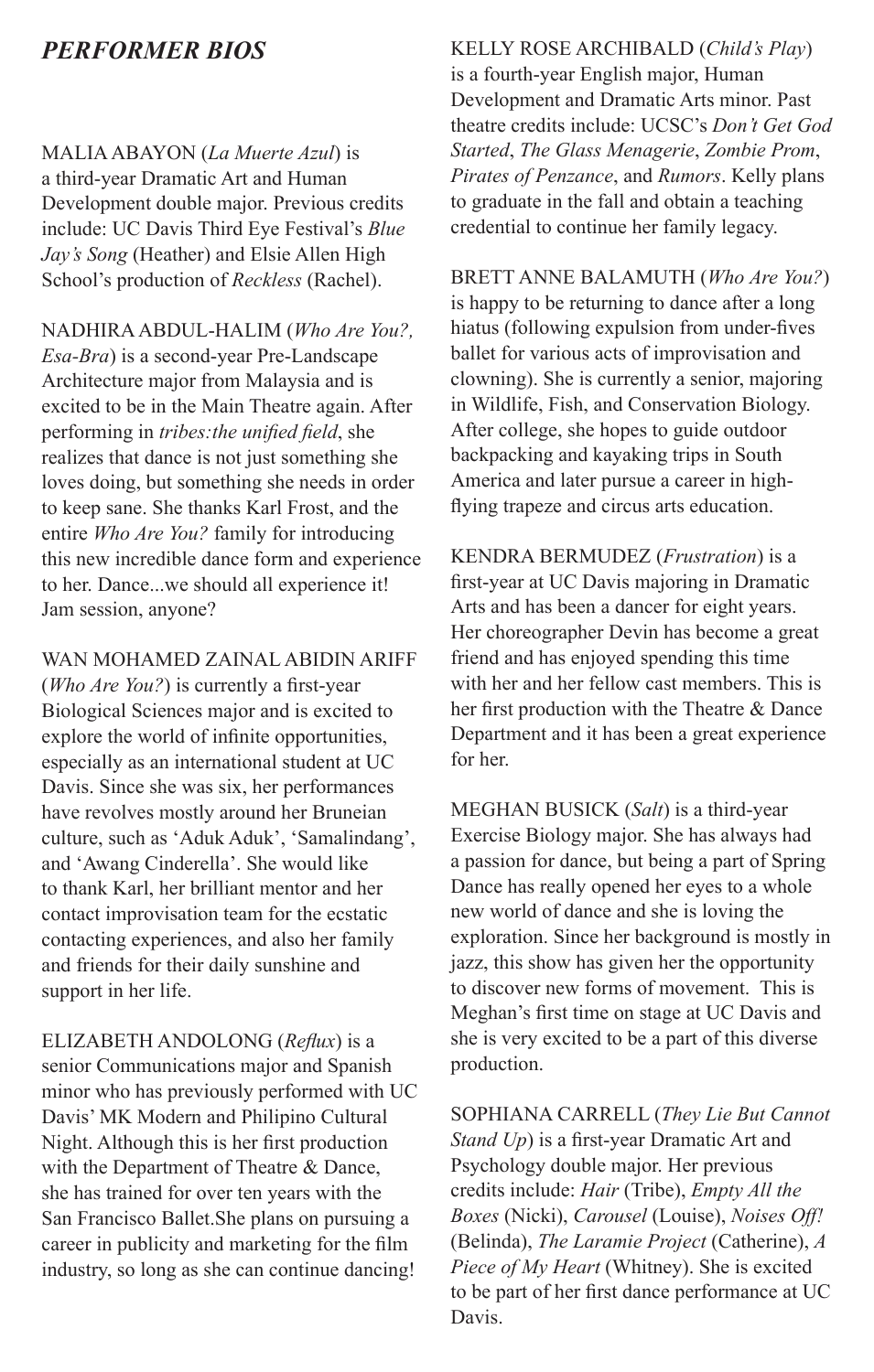## *PERFORMER BIOS*

MALIA ABAYON (*La Muerte Azul*) is a third-year Dramatic Art and Human Development double major. Previous credits include: UC Davis Third Eye Festival's *Blue Jay's Song* (Heather) and Elsie Allen High School's production of *Reckless* (Rachel).

NADHIRA ABDUL-HALIM (*Who Are You?, Esa-Bra*) is a second-year Pre-Landscape Architecture major from Malaysia and is excited to be in the Main Theatre again. After performing in *tribes:the unified field*, she realizes that dance is not just something she loves doing, but something she needs in order to keep sane. She thanks Karl Frost, and the entire *Who Are You?* family for introducing this new incredible dance form and experience to her. Dance...we should all experience it! Jam session, anyone?

WAN MOHAMED ZAINAL ABIDIN ARIFF (*Who Are You?*) is currently a first-year Biological Sciences major and is excited to explore the world of infinite opportunities, especially as an international student at UC Davis. Since she was six, her performances have revolves mostly around her Bruneian culture, such as 'Aduk Aduk', 'Samalindang', and 'Awang Cinderella'. She would like to thank Karl, her brilliant mentor and her contact improvisation team for the ecstatic contacting experiences, and also her family and friends for their daily sunshine and support in her life.

ELIZABETH ANDOLONG (*Reflux*) is a senior Communications major and Spanish minor who has previously performed with UC Davis' MK Modern and Philipino Cultural Night. Although this is her first production with the Department of Theatre & Dance, she has trained for over ten years with the San Francisco Ballet.She plans on pursuing a career in publicity and marketing for the film industry, so long as she can continue dancing!

KELLY ROSE ARCHIBALD (*Child's Play*) is a fourth-year English major, Human Development and Dramatic Arts minor. Past theatre credits include: UCSC's *Don't Get God Started*, *The Glass Menagerie*, *Zombie Prom*, *Pirates of Penzance*, and *Rumors*. Kelly plans to graduate in the fall and obtain a teaching credential to continue her family legacy.

BRETT ANNE BALAMUTH (*Who Are You?*) is happy to be returning to dance after a long hiatus (following expulsion from under-fives ballet for various acts of improvisation and clowning). She is currently a senior, majoring in Wildlife, Fish, and Conservation Biology. After college, she hopes to guide outdoor backpacking and kayaking trips in South America and later pursue a career in highflying trapeze and circus arts education.

KENDRA BERMUDEZ (*Frustration*) is a first-year at UC Davis majoring in Dramatic Arts and has been a dancer for eight years. Her choreographer Devin has become a great friend and has enjoyed spending this time with her and her fellow cast members. This is her first production with the Theatre & Dance Department and it has been a great experience for her.

MEGHAN BUSICK (*Salt*) is a third-year Exercise Biology major. She has always had a passion for dance, but being a part of Spring Dance has really opened her eyes to a whole new world of dance and she is loving the exploration. Since her background is mostly in jazz, this show has given her the opportunity to discover new forms of movement. This is Meghan's first time on stage at UC Davis and she is very excited to be a part of this diverse production.

SOPHIANA CARRELL (*They Lie But Cannot Stand Up*) is a first-year Dramatic Art and Psychology double major. Her previous credits include: *Hair* (Tribe), *Empty All the Boxes* (Nicki), *Carousel* (Louise), *Noises Off!* (Belinda), *The Laramie Project* (Catherine), *A Piece of My Heart* (Whitney). She is excited to be part of her first dance performance at UC Davis.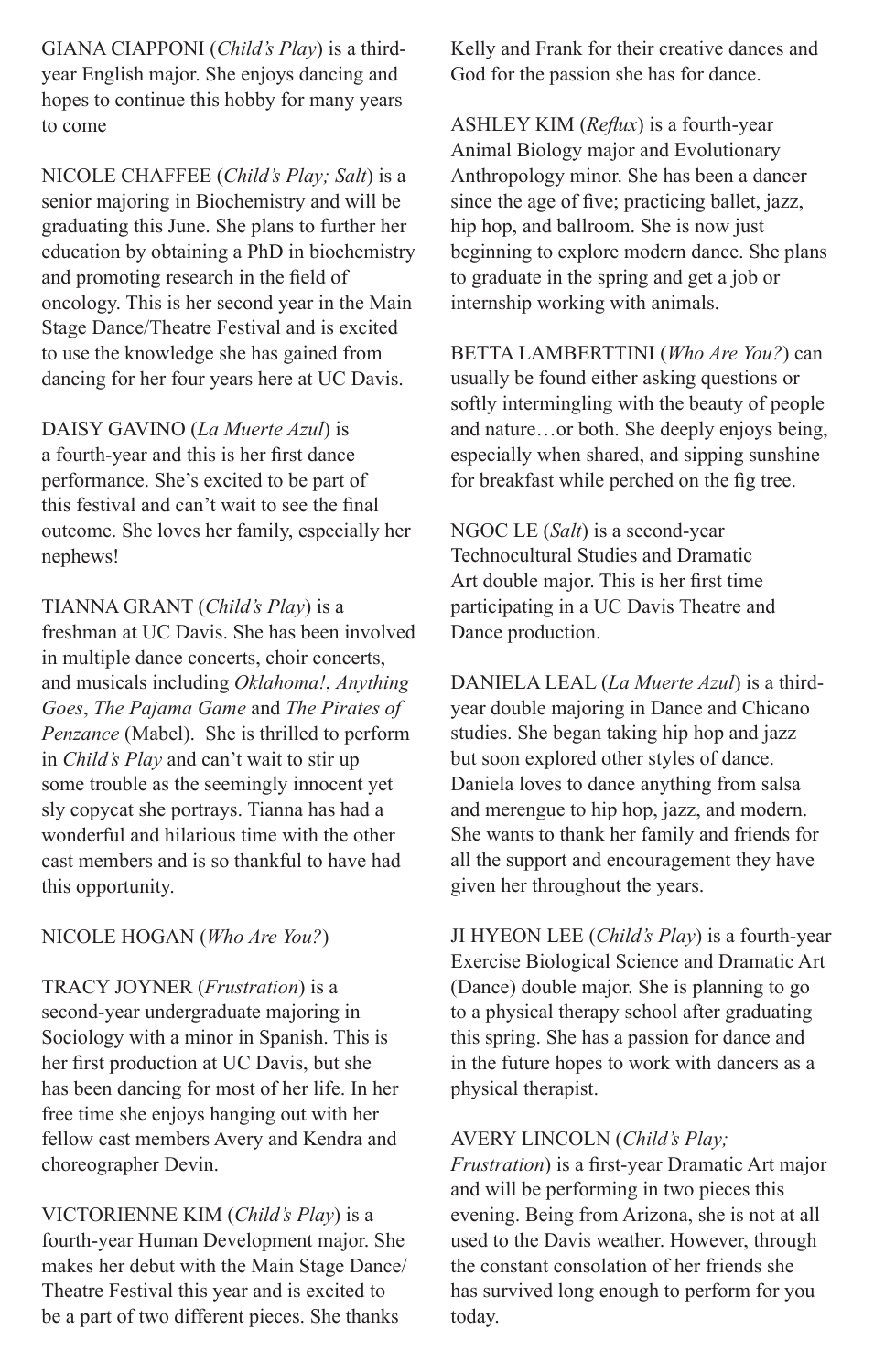GIANA CIAPPONI (*Child's Play*) is a thirdyear English major. She enjoys dancing and hopes to continue this hobby for many years to come

NICOLE CHAFFEE (*Child's Play; Salt*) is a senior majoring in Biochemistry and will be graduating this June. She plans to further her education by obtaining a PhD in biochemistry and promoting research in the field of oncology. This is her second year in the Main Stage Dance/Theatre Festival and is excited to use the knowledge she has gained from dancing for her four years here at UC Davis.

DAISY GAVINO (*La Muerte Azul*) is a fourth-year and this is her first dance performance. She's excited to be part of this festival and can't wait to see the final outcome. She loves her family, especially her nephews!

TIANNA GRANT (*Child's Play*) is a freshman at UC Davis. She has been involved in multiple dance concerts, choir concerts, and musicals including *Oklahoma!*, *Anything Goes*, *The Pajama Game* and *The Pirates of Penzance* (Mabel). She is thrilled to perform in *Child's Play* and can't wait to stir up some trouble as the seemingly innocent yet sly copycat she portrays. Tianna has had a wonderful and hilarious time with the other cast members and is so thankful to have had this opportunity.

#### NICOLE HOGAN (*Who Are You?*)

TRACY JOYNER (*Frustration*) is a second-year undergraduate majoring in Sociology with a minor in Spanish. This is her first production at UC Davis, but she has been dancing for most of her life. In her free time she enjoys hanging out with her fellow cast members Avery and Kendra and choreographer Devin.

VICTORIENNE KIM (*Child's Play*) is a fourth-year Human Development major. She makes her debut with the Main Stage Dance/ Theatre Festival this year and is excited to be a part of two different pieces. She thanks

Kelly and Frank for their creative dances and God for the passion she has for dance.

ASHLEY KIM (*Reflux*) is a fourth-year Animal Biology major and Evolutionary Anthropology minor. She has been a dancer since the age of five; practicing ballet, jazz, hip hop, and ballroom. She is now just beginning to explore modern dance. She plans to graduate in the spring and get a job or internship working with animals.

BETTA LAMBERTTINI (*Who Are You?*) can usually be found either asking questions or softly intermingling with the beauty of people and nature…or both. She deeply enjoys being, especially when shared, and sipping sunshine for breakfast while perched on the fig tree.

NGOC LE (*Salt*) is a second-year Technocultural Studies and Dramatic Art double major. This is her first time participating in a UC Davis Theatre and Dance production.

DANIELA LEAL (*La Muerte Azul*) is a thirdyear double majoring in Dance and Chicano studies. She began taking hip hop and jazz but soon explored other styles of dance. Daniela loves to dance anything from salsa and merengue to hip hop, jazz, and modern. She wants to thank her family and friends for all the support and encouragement they have given her throughout the years.

JI HYEON LEE (*Child's Play*) is a fourth-year Exercise Biological Science and Dramatic Art (Dance) double major. She is planning to go to a physical therapy school after graduating this spring. She has a passion for dance and in the future hopes to work with dancers as a physical therapist.

#### AVERY LINCOLN (*Child's Play;*

*Frustration*) is a first-year Dramatic Art major and will be performing in two pieces this evening. Being from Arizona, she is not at all used to the Davis weather. However, through the constant consolation of her friends she has survived long enough to perform for you today.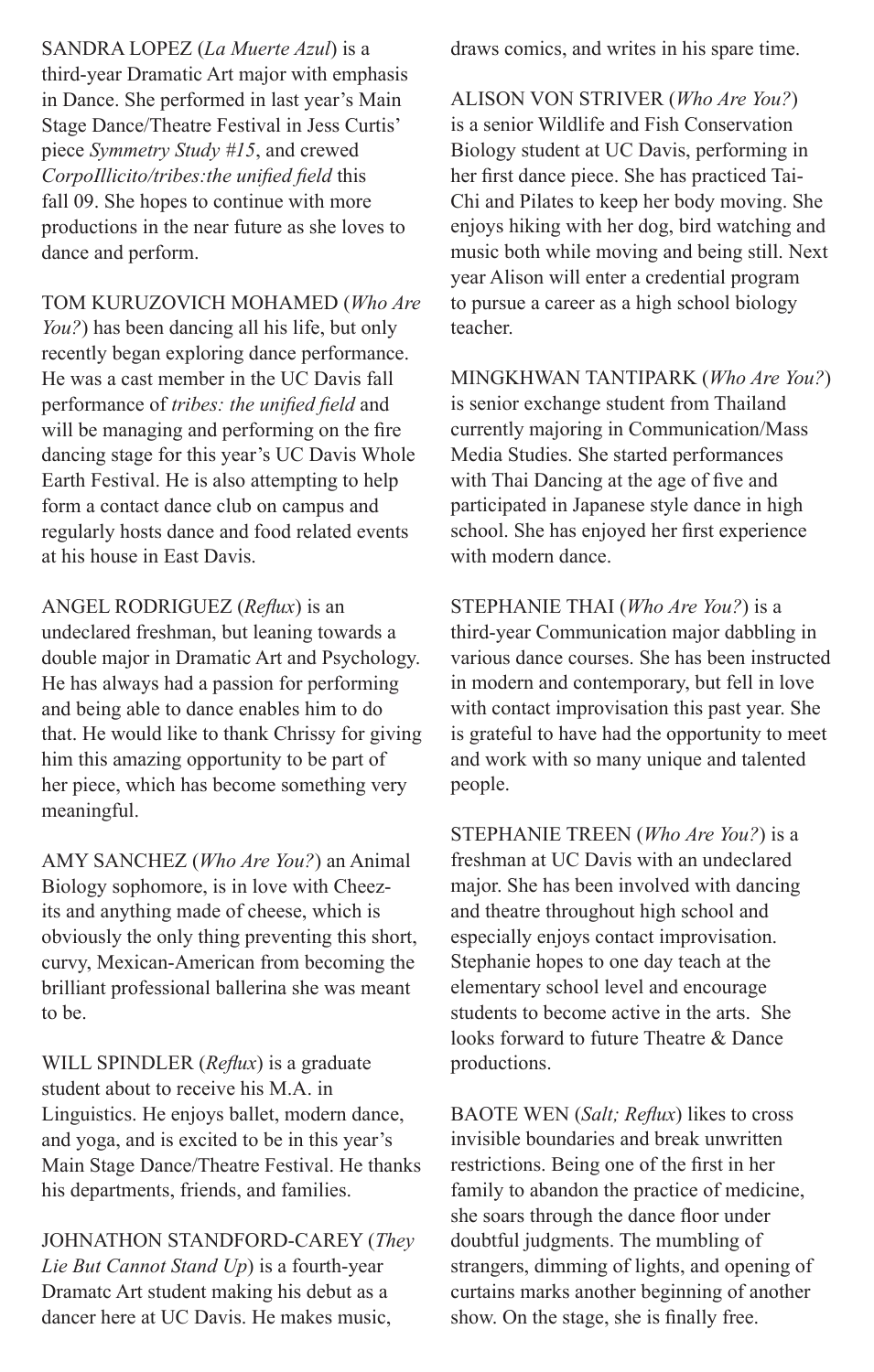SANDRA LOPEZ (*La Muerte Azul*) is a third-year Dramatic Art major with emphasis in Dance. She performed in last year's Main Stage Dance/Theatre Festival in Jess Curtis' piece *Symmetry Study #15*, and crewed *CorpoIllicito/tribes:the unified field* this fall 09. She hopes to continue with more productions in the near future as she loves to dance and perform.

TOM KURUZOVICH MOHAMED (*Who Are You?*) has been dancing all his life, but only recently began exploring dance performance. He was a cast member in the UC Davis fall performance of *tribes: the unified field* and will be managing and performing on the fire dancing stage for this year's UC Davis Whole Earth Festival. He is also attempting to help form a contact dance club on campus and regularly hosts dance and food related events at his house in East Davis.

ANGEL RODRIGUEZ (*Reflux*) is an undeclared freshman, but leaning towards a double major in Dramatic Art and Psychology. He has always had a passion for performing and being able to dance enables him to do that. He would like to thank Chrissy for giving him this amazing opportunity to be part of her piece, which has become something very meaningful.

AMY SANCHEZ (*Who Are You?*) an Animal Biology sophomore, is in love with Cheezits and anything made of cheese, which is obviously the only thing preventing this short, curvy, Mexican-American from becoming the brilliant professional ballerina she was meant to be.

WILL SPINDLER (*Reflux*) is a graduate student about to receive his M.A. in Linguistics. He enjoys ballet, modern dance, and yoga, and is excited to be in this year's Main Stage Dance/Theatre Festival. He thanks his departments, friends, and families.

JOHNATHON STANDFORD-CAREY (*They Lie But Cannot Stand Up*) is a fourth-year Dramatc Art student making his debut as a dancer here at UC Davis. He makes music,

draws comics, and writes in his spare time.

ALISON VON STRIVER (*Who Are You?*) is a senior Wildlife and Fish Conservation Biology student at UC Davis, performing in her first dance piece. She has practiced Tai-Chi and Pilates to keep her body moving. She enjoys hiking with her dog, bird watching and music both while moving and being still. Next year Alison will enter a credential program to pursue a career as a high school biology teacher.

MINGKHWAN TANTIPARK (*Who Are You?*) is senior exchange student from Thailand currently majoring in Communication/Mass Media Studies. She started performances with Thai Dancing at the age of five and participated in Japanese style dance in high school. She has enjoyed her first experience with modern dance.

STEPHANIE THAI (*Who Are You?*) is a third-year Communication major dabbling in various dance courses. She has been instructed in modern and contemporary, but fell in love with contact improvisation this past year. She is grateful to have had the opportunity to meet and work with so many unique and talented people.

STEPHANIE TREEN (*Who Are You?*) is a freshman at UC Davis with an undeclared major. She has been involved with dancing and theatre throughout high school and especially enjoys contact improvisation. Stephanie hopes to one day teach at the elementary school level and encourage students to become active in the arts. She looks forward to future Theatre & Dance productions.

BAOTE WEN (*Salt; Reflux*) likes to cross invisible boundaries and break unwritten restrictions. Being one of the first in her family to abandon the practice of medicine, she soars through the dance floor under doubtful judgments. The mumbling of strangers, dimming of lights, and opening of curtains marks another beginning of another show. On the stage, she is finally free.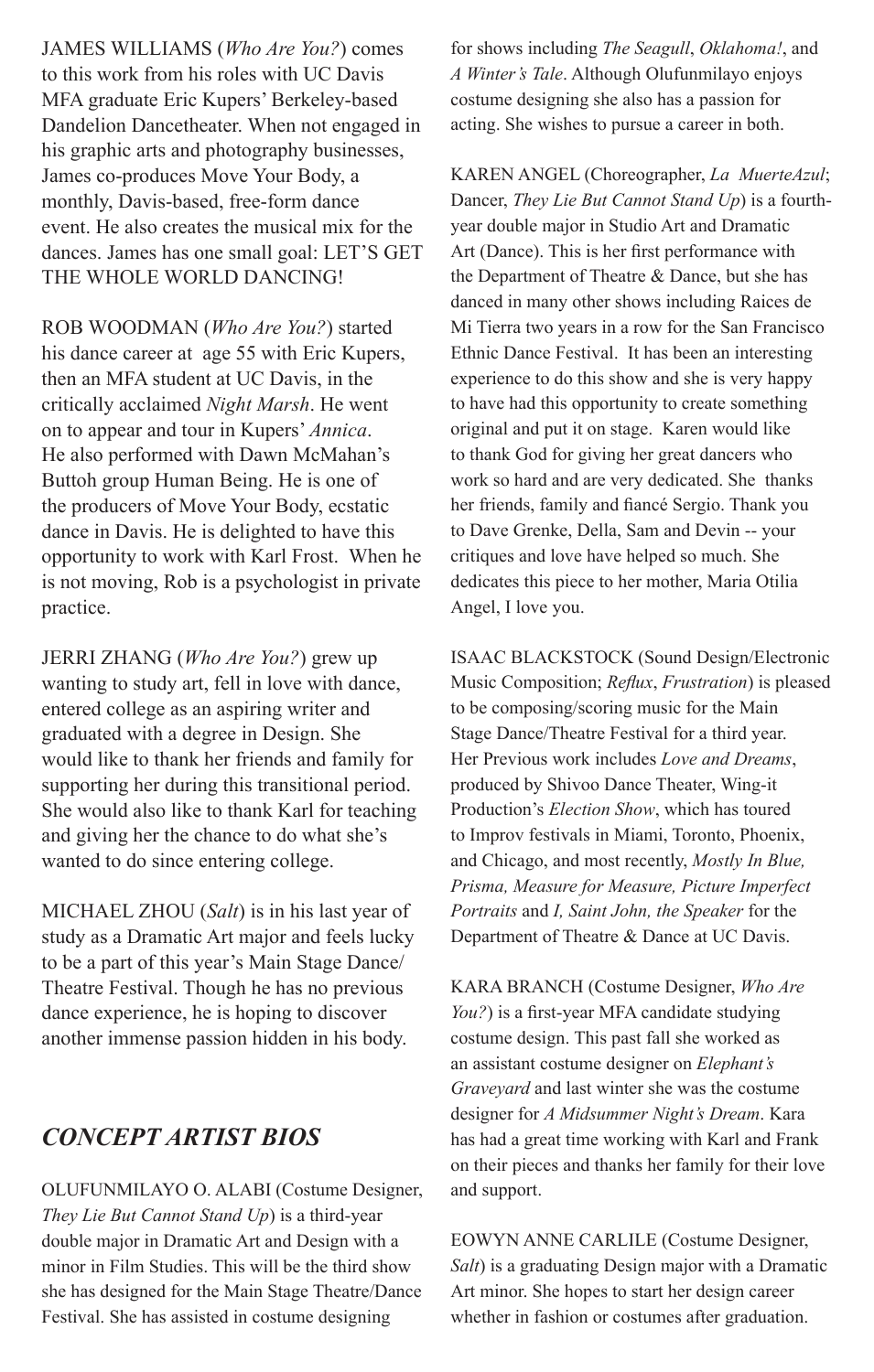JAMES WILLIAMS (*Who Are You?*) comes to this work from his roles with UC Davis MFA graduate Eric Kupers' Berkeley-based Dandelion Dancetheater. When not engaged in his graphic arts and photography businesses, James co-produces Move Your Body, a monthly, Davis-based, free-form dance event. He also creates the musical mix for the dances. James has one small goal: LET'S GET THE WHOLE WORLD DANCING!

ROB WOODMAN (*Who Are You?*) started his dance career at age 55 with Eric Kupers, then an MFA student at UC Davis, in the critically acclaimed *Night Marsh*. He went on to appear and tour in Kupers' *Annica*. He also performed with Dawn McMahan's Buttoh group Human Being. He is one of the producers of Move Your Body, ecstatic dance in Davis. He is delighted to have this opportunity to work with Karl Frost. When he is not moving, Rob is a psychologist in private practice.

JERRI ZHANG (*Who Are You?*) grew up wanting to study art, fell in love with dance, entered college as an aspiring writer and graduated with a degree in Design. She would like to thank her friends and family for supporting her during this transitional period. She would also like to thank Karl for teaching and giving her the chance to do what she's wanted to do since entering college.

MICHAEL ZHOU (*Salt*) is in his last year of study as a Dramatic Art major and feels lucky to be a part of this year's Main Stage Dance/ Theatre Festival. Though he has no previous dance experience, he is hoping to discover another immense passion hidden in his body.

## *CONCEPT ARTIST BIOS*

OLUFUNMILAYO O. ALABI (Costume Designer, *They Lie But Cannot Stand Up*) is a third-year double major in Dramatic Art and Design with a minor in Film Studies. This will be the third show she has designed for the Main Stage Theatre/Dance Festival. She has assisted in costume designing

for shows including *The Seagull*, *Oklahoma!*, and *A Winter's Tale*. Although Olufunmilayo enjoys costume designing she also has a passion for acting. She wishes to pursue a career in both.

KAREN ANGEL (Choreographer, *La MuerteAzul*; Dancer, *They Lie But Cannot Stand Up*) is a fourthyear double major in Studio Art and Dramatic Art (Dance). This is her first performance with the Department of Theatre & Dance, but she has danced in many other shows including Raices de Mi Tierra two years in a row for the San Francisco Ethnic Dance Festival. It has been an interesting experience to do this show and she is very happy to have had this opportunity to create something original and put it on stage. Karen would like to thank God for giving her great dancers who work so hard and are very dedicated. She thanks her friends, family and fiancé Sergio. Thank you to Dave Grenke, Della, Sam and Devin -- your critiques and love have helped so much. She dedicates this piece to her mother, Maria Otilia Angel, I love you.

ISAAC BLACKSTOCK (Sound Design/Electronic Music Composition; *Reflux*, *Frustration*) is pleased to be composing/scoring music for the Main Stage Dance/Theatre Festival for a third year. Her Previous work includes *Love and Dreams*, produced by Shivoo Dance Theater, Wing-it Production's *Election Show*, which has toured to Improv festivals in Miami, Toronto, Phoenix, and Chicago, and most recently, *Mostly In Blue, Prisma, Measure for Measure, Picture Imperfect Portraits* and *I, Saint John, the Speaker* for the Department of Theatre & Dance at UC Davis.

KARA BRANCH (Costume Designer, *Who Are You?*) is a first-year MFA candidate studying costume design. This past fall she worked as an assistant costume designer on *Elephant's Graveyard* and last winter she was the costume designer for *A Midsummer Night's Dream*. Kara has had a great time working with Karl and Frank on their pieces and thanks her family for their love and support.

EOWYN ANNE CARLILE (Costume Designer, *Salt*) is a graduating Design major with a Dramatic Art minor. She hopes to start her design career whether in fashion or costumes after graduation.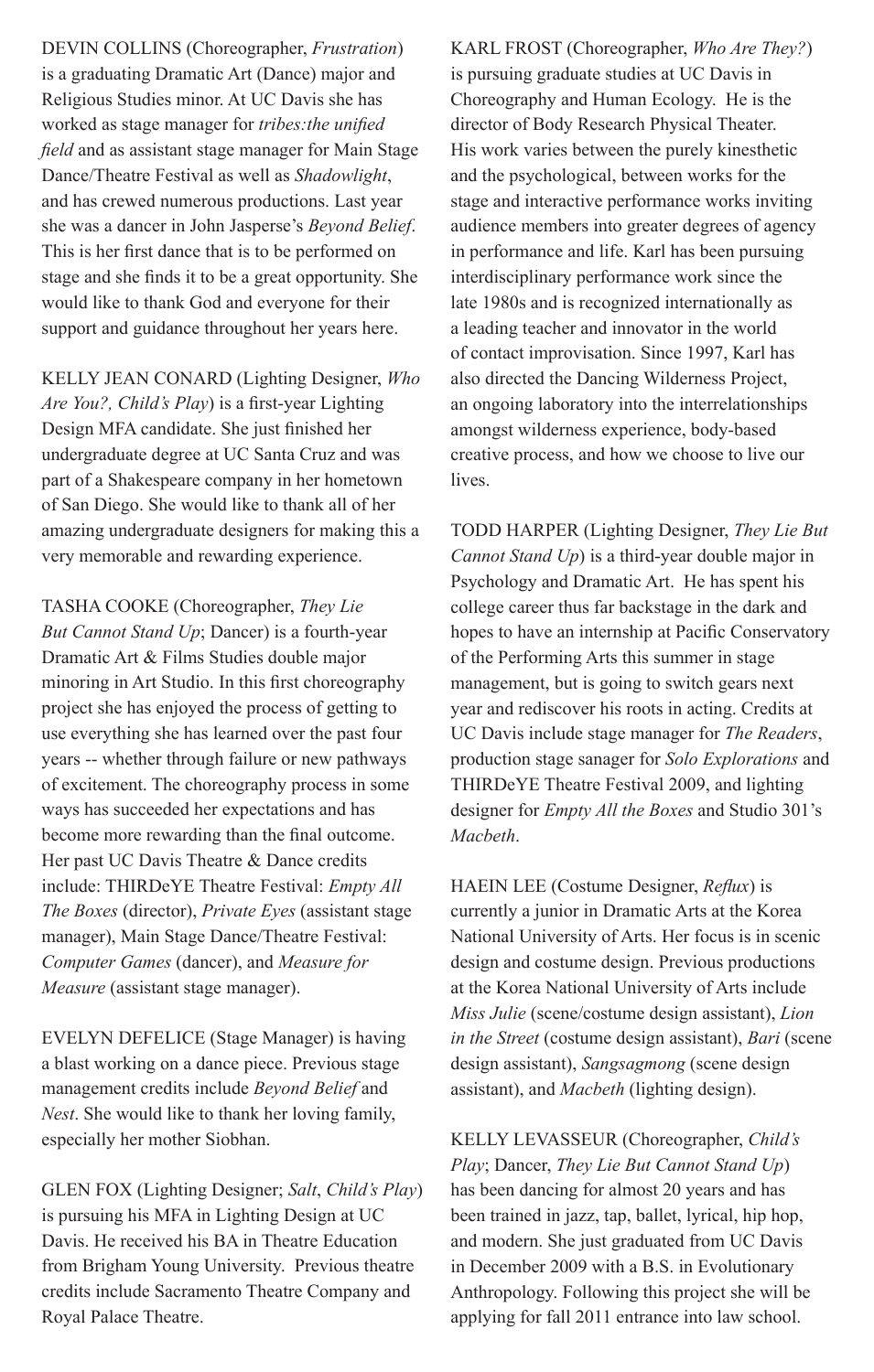DEVIN COLLINS (Choreographer, *Frustration*) is a graduating Dramatic Art (Dance) major and Religious Studies minor. At UC Davis she has worked as stage manager for *tribes:the unified field* and as assistant stage manager for Main Stage Dance/Theatre Festival as well as *Shadowlight*, and has crewed numerous productions. Last year she was a dancer in John Jasperse's *Beyond Belief*. This is her first dance that is to be performed on stage and she finds it to be a great opportunity. She would like to thank God and everyone for their support and guidance throughout her years here.

KELLY JEAN CONARD (Lighting Designer, *Who Are You?, Child's Play*) is a first-year Lighting Design MFA candidate. She just finished her undergraduate degree at UC Santa Cruz and was part of a Shakespeare company in her hometown of San Diego. She would like to thank all of her amazing undergraduate designers for making this a very memorable and rewarding experience.

TASHA COOKE (Choreographer, *They Lie But Cannot Stand Up*; Dancer) is a fourth-year Dramatic Art & Films Studies double major minoring in Art Studio. In this first choreography project she has enjoyed the process of getting to use everything she has learned over the past four years -- whether through failure or new pathways of excitement. The choreography process in some ways has succeeded her expectations and has become more rewarding than the final outcome. Her past UC Davis Theatre & Dance credits include: THIRDeYE Theatre Festival: *Empty All The Boxes* (director), *Private Eyes* (assistant stage manager), Main Stage Dance/Theatre Festival: *Computer Games* (dancer), and *Measure for Measure* (assistant stage manager).

EVELYN DEFELICE (Stage Manager) is having a blast working on a dance piece. Previous stage management credits include *Beyond Belief* and *Nest*. She would like to thank her loving family, especially her mother Siobhan.

GLEN FOX (Lighting Designer; *Salt*, *Child's Play*) is pursuing his MFA in Lighting Design at UC Davis. He received his BA in Theatre Education from Brigham Young University. Previous theatre credits include Sacramento Theatre Company and Royal Palace Theatre.

KARL FROST (Choreographer, *Who Are They?*) is pursuing graduate studies at UC Davis in Choreography and Human Ecology. He is the director of Body Research Physical Theater. His work varies between the purely kinesthetic and the psychological, between works for the stage and interactive performance works inviting audience members into greater degrees of agency in performance and life. Karl has been pursuing interdisciplinary performance work since the late 1980s and is recognized internationally as a leading teacher and innovator in the world of contact improvisation. Since 1997, Karl has also directed the Dancing Wilderness Project, an ongoing laboratory into the interrelationships amongst wilderness experience, body-based creative process, and how we choose to live our lives.

TODD HARPER (Lighting Designer, *They Lie But Cannot Stand Up*) is a third-year double major in Psychology and Dramatic Art. He has spent his college career thus far backstage in the dark and hopes to have an internship at Pacific Conservatory of the Performing Arts this summer in stage management, but is going to switch gears next year and rediscover his roots in acting. Credits at UC Davis include stage manager for *The Readers*, production stage sanager for *Solo Explorations* and THIRDeYE Theatre Festival 2009, and lighting designer for *Empty All the Boxes* and Studio 301's *Macbeth*.

HAEIN LEE (Costume Designer, *Reflux*) is currently a junior in Dramatic Arts at the Korea National University of Arts. Her focus is in scenic design and costume design. Previous productions at the Korea National University of Arts include *Miss Julie* (scene/costume design assistant), *Lion in the Street* (costume design assistant), *Bari* (scene design assistant), *Sangsagmong* (scene design assistant), and *Macbeth* (lighting design).

KELLY LEVASSEUR (Choreographer, *Child's Play*; Dancer, *They Lie But Cannot Stand Up*) has been dancing for almost 20 years and has been trained in jazz, tap, ballet, lyrical, hip hop, and modern. She just graduated from UC Davis in December 2009 with a B.S. in Evolutionary Anthropology. Following this project she will be applying for fall 2011 entrance into law school.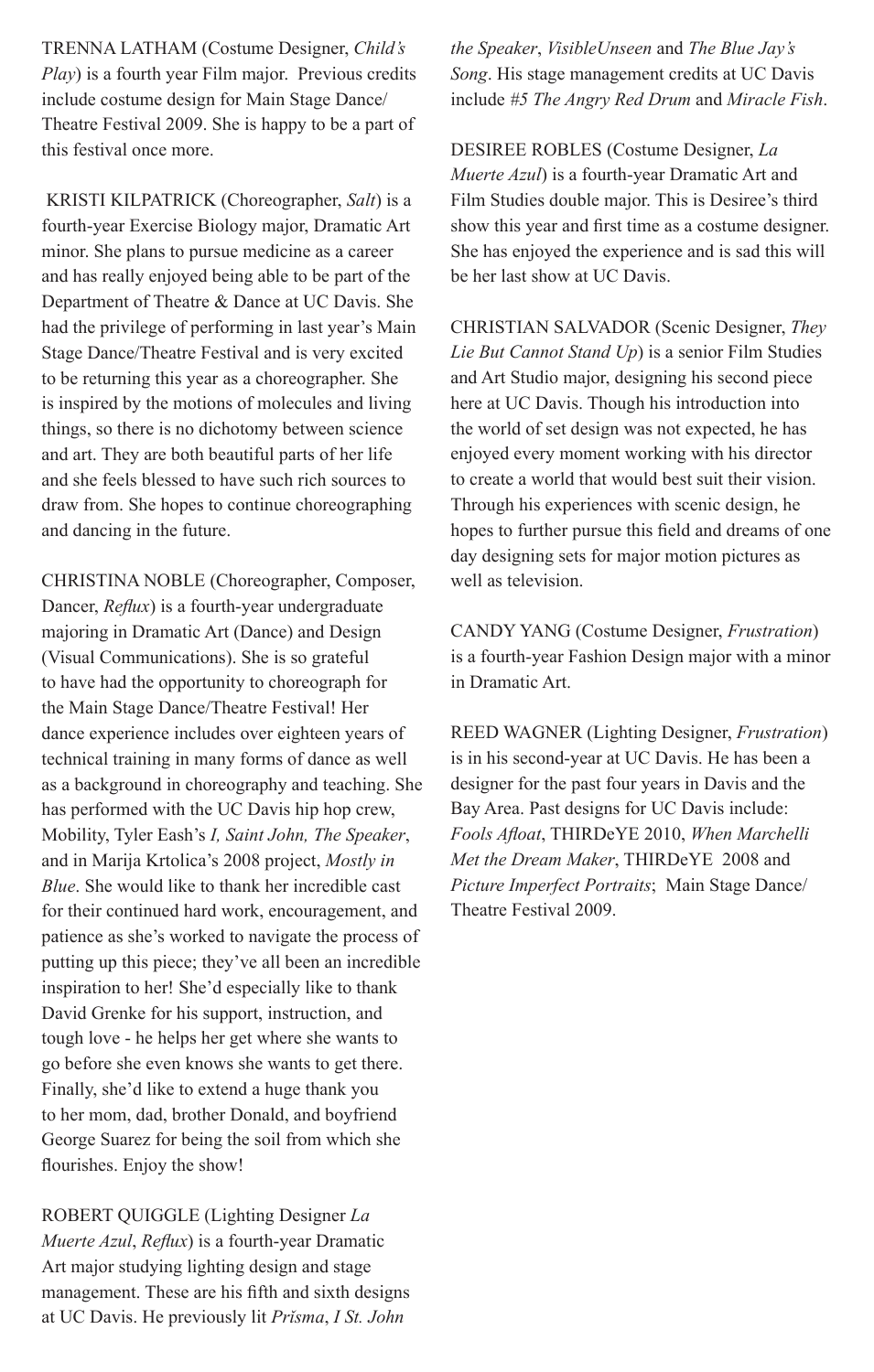TRENNA LATHAM (Costume Designer, *Child's Play*) is a fourth year Film major. Previous credits include costume design for Main Stage Dance/ Theatre Festival 2009. She is happy to be a part of this festival once more.

 KRISTI KILPATRICK (Choreographer, *Salt*) is a fourth-year Exercise Biology major, Dramatic Art minor. She plans to pursue medicine as a career and has really enjoyed being able to be part of the Department of Theatre & Dance at UC Davis. She had the privilege of performing in last year's Main Stage Dance/Theatre Festival and is very excited to be returning this year as a choreographer. She is inspired by the motions of molecules and living things, so there is no dichotomy between science and art. They are both beautiful parts of her life and she feels blessed to have such rich sources to draw from. She hopes to continue choreographing and dancing in the future.

CHRISTINA NOBLE (Choreographer, Composer, Dancer, *Reflux*) is a fourth-year undergraduate majoring in Dramatic Art (Dance) and Design (Visual Communications). She is so grateful to have had the opportunity to choreograph for the Main Stage Dance/Theatre Festival! Her dance experience includes over eighteen years of technical training in many forms of dance as well as a background in choreography and teaching. She has performed with the UC Davis hip hop crew, Mobility, Tyler Eash's *I, Saint John, The Speaker*, and in Marija Krtolica's 2008 project, *Mostly in Blue*. She would like to thank her incredible cast for their continued hard work, encouragement, and patience as she's worked to navigate the process of putting up this piece; they've all been an incredible inspiration to her! She'd especially like to thank David Grenke for his support, instruction, and tough love - he helps her get where she wants to go before she even knows she wants to get there. Finally, she'd like to extend a huge thank you to her mom, dad, brother Donald, and boyfriend George Suarez for being the soil from which she flourishes. Enjoy the show!

ROBERT QUIGGLE (Lighting Designer *La Muerte Azul*, *Reflux*) is a fourth-year Dramatic Art major studying lighting design and stage management. These are his fifth and sixth designs at UC Davis. He previously lit *Prǐsma*, *I St. John* 

*the Speaker*, *VisibleUnseen* and *The Blue Jay's Song*. His stage management credits at UC Davis include *#5 The Angry Red Drum* and *Miracle Fish*.

DESIREE ROBLES (Costume Designer, *La Muerte Azul*) is a fourth-year Dramatic Art and Film Studies double major. This is Desiree's third show this year and first time as a costume designer. She has enjoyed the experience and is sad this will be her last show at UC Davis.

CHRISTIAN SALVADOR (Scenic Designer, *They Lie But Cannot Stand Up*) is a senior Film Studies and Art Studio major, designing his second piece here at UC Davis. Though his introduction into the world of set design was not expected, he has enjoyed every moment working with his director to create a world that would best suit their vision. Through his experiences with scenic design, he hopes to further pursue this field and dreams of one day designing sets for major motion pictures as well as television.

CANDY YANG (Costume Designer, *Frustration*) is a fourth-year Fashion Design major with a minor in Dramatic Art.

REED WAGNER (Lighting Designer, *Frustration*) is in his second-year at UC Davis. He has been a designer for the past four years in Davis and the Bay Area. Past designs for UC Davis include: *Fools Afloat*, THIRDeYE 2010, *When Marchelli Met the Dream Maker*, THIRDeYE 2008 and *Picture Imperfect Portraits*; Main Stage Dance/ Theatre Festival 2009.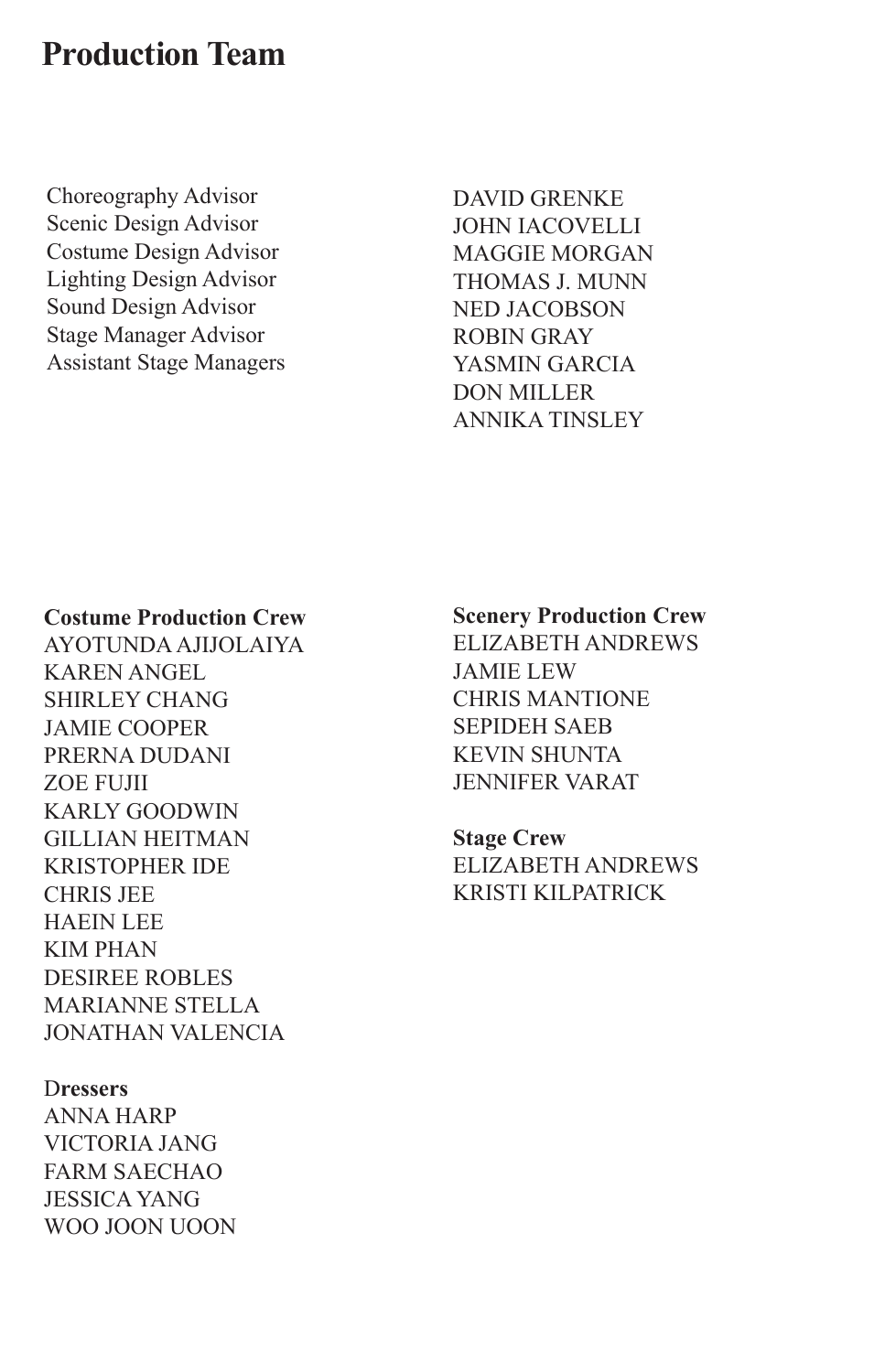# **Production Team**

Choreography Advisor Scenic Design Advisor Costume Design Advisor Lighting Design Advisor Sound Design Advisor Stage Manager Advisor Assistant Stage Managers

DAVID GRENKE John Iacovelli Maggie Morgan Thomas J. Munn Ned Jacobson ROBIN GRAY YASMIN GARCIA DON MILLER ANNIKA TINSLEY

#### **Costume Production Crew**

Ayotunda Ajijolaiya Karen Angel Shirley Chang Jamie Cooper Prerna Dudani Zoe Fujii Karly Goodwin Gillian Heitman Kristopher Ide Chris Jee HAEIN LEE Kim Phan Desiree Robles Marianne Stella Jonathan VaLencia

#### D**ressers**

Anna Harp Victoria Jang Farm Saechao Jessica Yang Woo Joon Uoon

#### **Scenery Production Crew**

Elizabeth Andrews Jamie Lew Chris Mantione Sepideh Saeb Kevin Shunta Jennifer Varat

**Stage Crew** Elizabeth Andrews Kristi Kilpatrick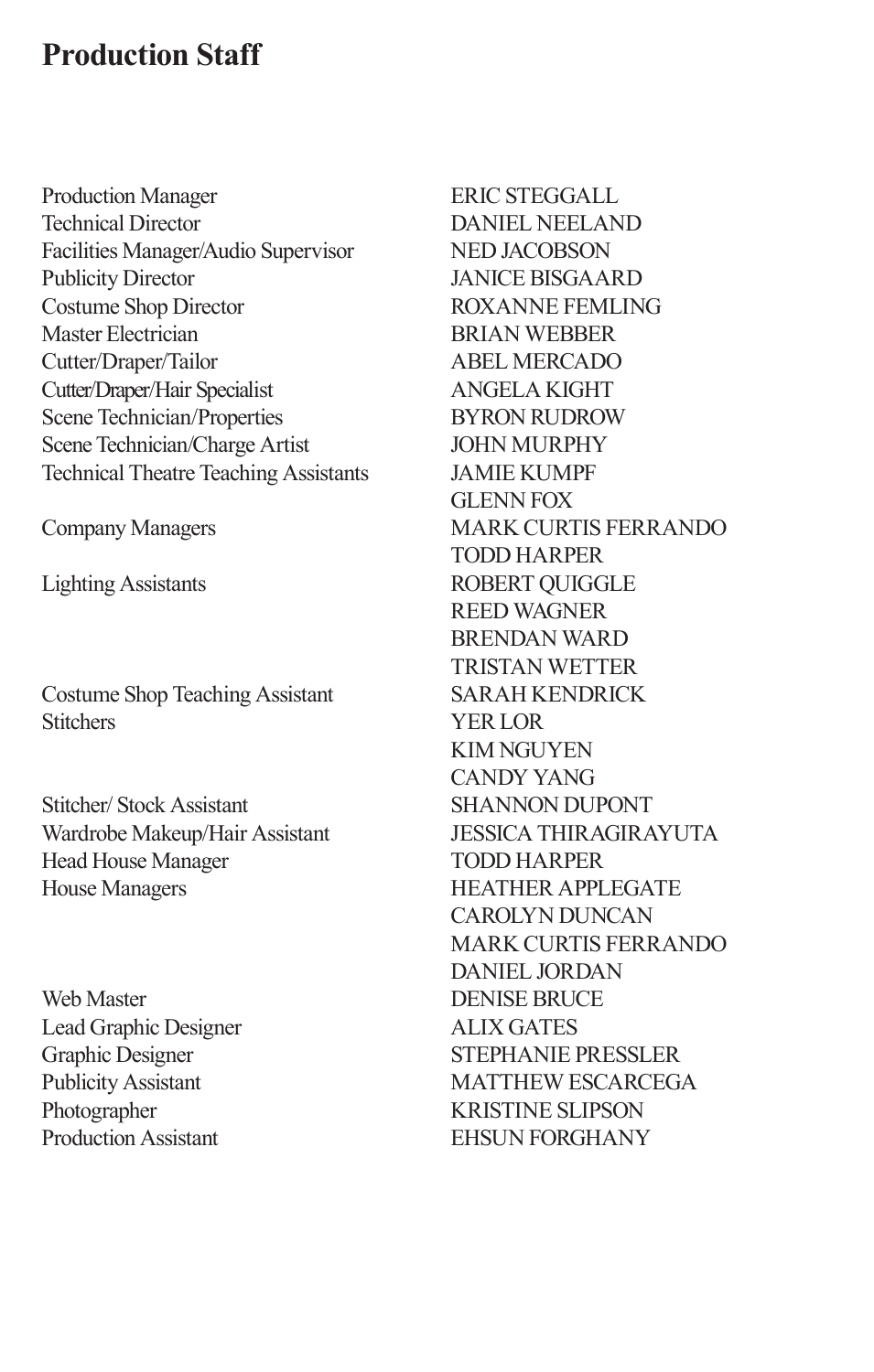# **Production Staff**

Production Manager Technical Director Facilities Manager/Audio Supervisor Publicity Director Costume Shop Director Master Electrician Cutter/Draper/Tailor Cutter/Draper/Hair Specialist Scene Technician/Properties Scene Technician/Charge Artist Technical Theatre Teaching Assistants

Company Managers

Lighting Assistants

Costume Shop Teaching Assistant **Stitchers** 

Stitcher/ Stock Assistant Wardrobe Makeup/Hair Assistant Head House Manager House Managers

Web Master Lead Graphic Designer Graphic Designer Publicity Assistant Photographer Production Assistant

ERIC STEGGALL DANIEL NEELAND NED JACOBSON JANICE BISGAARD ROXANNE FEMLING BRIAN WEBBER ABEL MERCADO ANGELA KIGHT BYRON RUDROW JOHN MURPHY JAMIE KUMPF GLENN FOX MARK CURTIS FERRANDO TODD HARPER ROBERT QUIGGLE REED WAGNER BRENDAN WARD TRISTAN WETTER SARAH KENDRICK YER LOR KIM NGUYEN CANDY YANG SHANNON DUPONT JESSICA THIRAGIRAYUTA TODD HARPER HEATHER APPLEGATE CAROLYN DUNCAN MARK CURTIS FERRANDO DANIEL JORDAN DENISE BRUCE ALIX GATES STEPHANIE PRESSLER MATTHEW ESCARCEGA KRISTINE SLIPSON EHSUN FORGHANY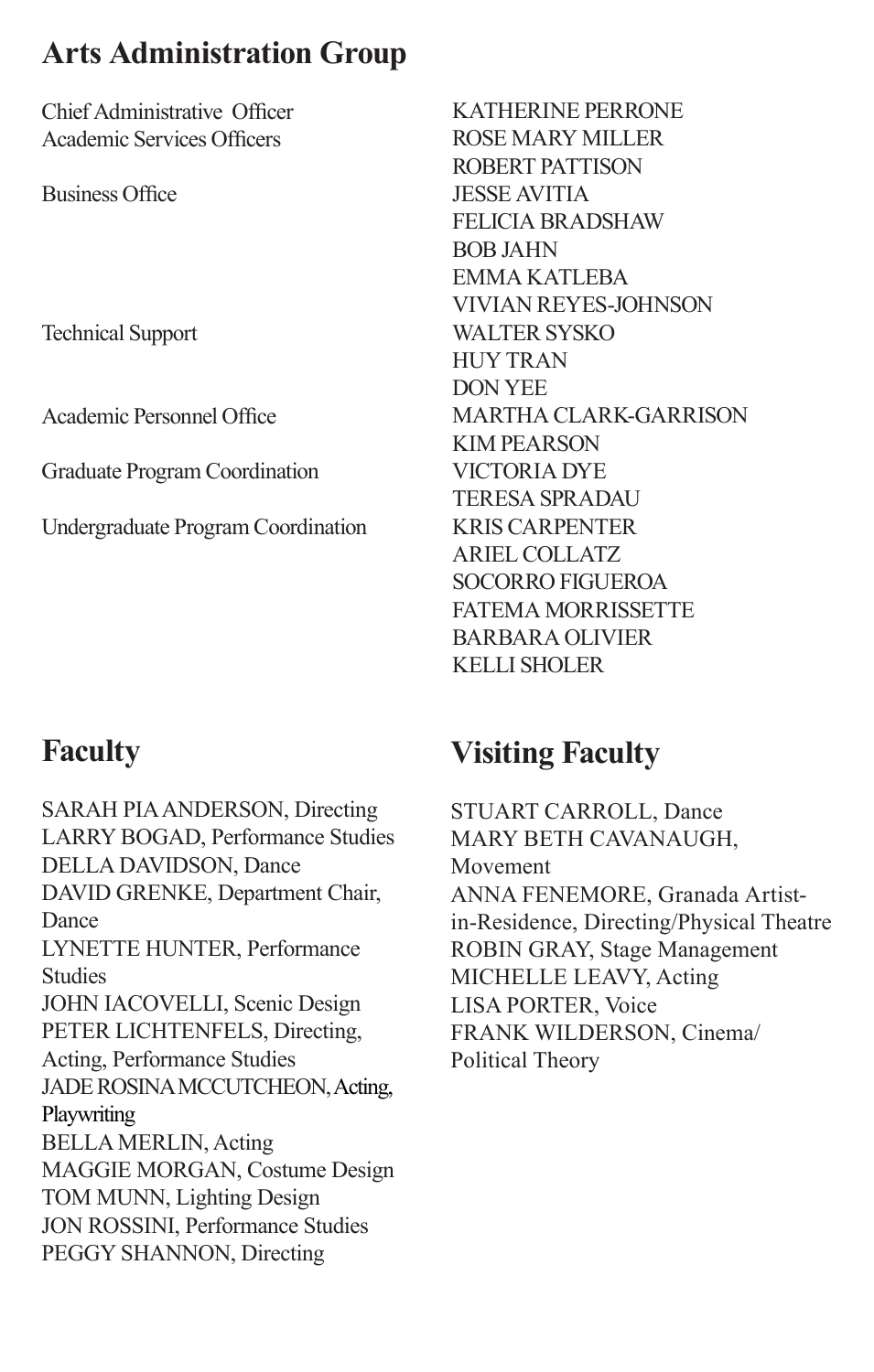# **Arts Administration Group**

Chief Administrative Officer Academic Services Officers

Business Office

Technical Support

Academic Personnel Office

Graduate Program Coordination

Undergraduate Program Coordination

## KATHERINE PERRONE ROSE MARY MILLER ROBERT PATTISON JESSE AVITIA FELICIA BRADSHAW BOB JAHN EMMA KATLEBA VIVIAN REYES-JOHNSON WALTER SYSKO HUY TRAN DON YEE MARTHA CLARK-GARRISON KIM PEARSON VICTORIA DYE TERESA SPRADAU KRIS CARPENTER ARIEL COLLATZ SOCORRO FIGUEROA FATEMA MORRISSETTE BARBARA OLIVIER KELLI SHOLER

# **Faculty**

SARAH PIA ANDERSON, Directing LARRY BOGAD, Performance Studies DELLA DAVIDSON, Dance DAVID GRENKE, Department Chair, Dance LYNETTE HUNTER, Performance Studies JOHN IACOVELLI, Scenic Design PETER LICHTENFELS, Directing, Acting, Performance Studies JADE ROSINA MCCUTCHEON, Acting, **Playwriting** BELLA MERLIN, Acting MAGGIE MORGAN, Costume Design TOM MUNN, Lighting Design JON ROSSINI, Performance Studies PEGGY SHANNON, Directing

# **Visiting Faculty**

STUART CARROLL, Dance MARY BETH CAVANAUGH, Movement ANNA FENEMORE, Granada Artistin-Residence, Directing/Physical Theatre ROBIN GRAY, Stage Management MICHELLE LEAVY, Acting LISA PORTER, Voice FRANK WILDERSON, Cinema/ Political Theory